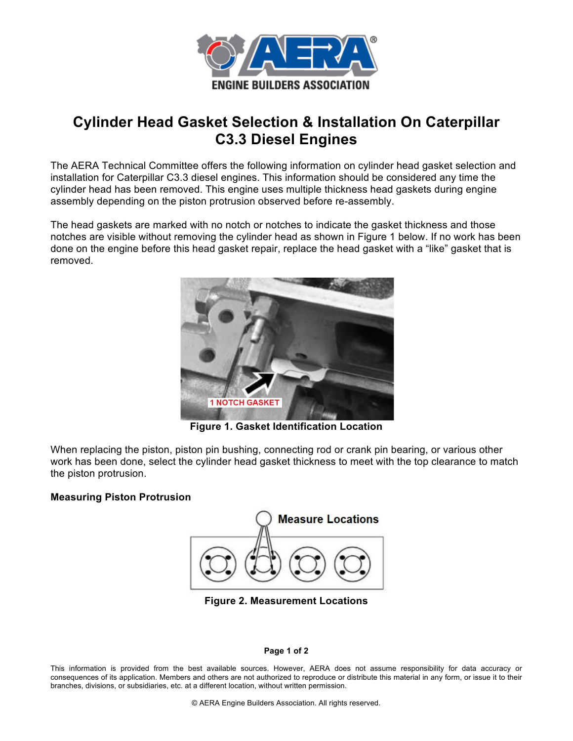

## **Cylinder Head Gasket Selection & Installation On Caterpillar C3.3 Diesel Engines**

The AERA Technical Committee offers the following information on cylinder head gasket selection and installation for Caterpillar C3.3 diesel engines. This information should be considered any time the cylinder head has been removed. This engine uses multiple thickness head gaskets during engine assembly depending on the piston protrusion observed before re-assembly.

The head gaskets are marked with no notch or notches to indicate the gasket thickness and those notches are visible without removing the cylinder head as shown in Figure 1 below. If no work has been done on the engine before this head gasket repair, replace the head gasket with a "like" gasket that is removed.



**Figure 1. Gasket Identification Location**

When replacing the piston, piston pin bushing, connecting rod or crank pin bearing, or various other work has been done, select the cylinder head gasket thickness to meet with the top clearance to match the piston protrusion.

## **Measuring Piston Protrusion**



**Figure 2. Measurement Locations**

## **Page 1 of 2**

This information is provided from the best available sources. However, AERA does not assume responsibility for data accuracy or consequences of its application. Members and others are not authorized to reproduce or distribute this material in any form, or issue it to their branches, divisions, or subsidiaries, etc. at a different location, without written permission.